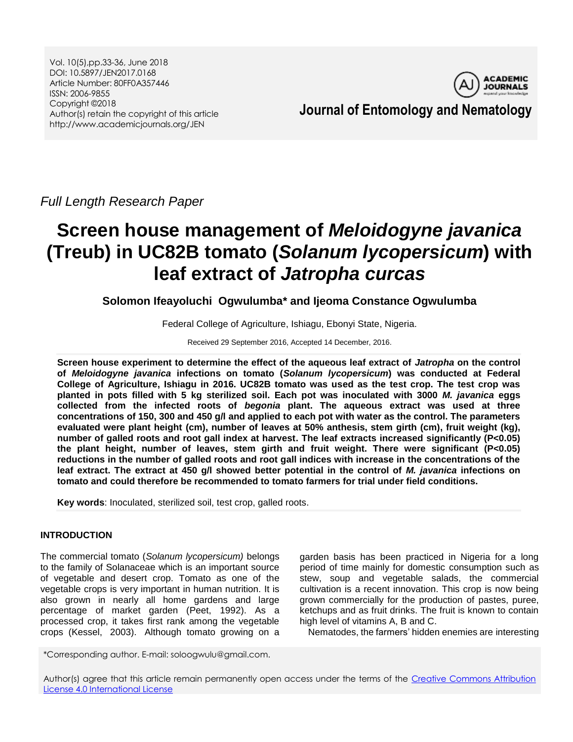Vol. 10(5),pp.33-36, June 2018 DOI: 10.5897/JEN2017.0168 Article Number: 80FF0A357446 ISSN: 2006-9855 Copyright ©2018 Author(s) retain the copyright of this article http://www.academicjournals.org/JEN



# **Journal of Entomology and Nematology**

*Full Length Research Paper*

# **Screen house management of** *Meloidogyne javanica*  **(Treub) in UC82B tomato (***Solanum lycopersicum***) with leaf extract of** *Jatropha curcas*

**Solomon Ifeayoluchi Ogwulumba\* and Ijeoma Constance Ogwulumba**

Federal College of Agriculture, Ishiagu, Ebonyi State, Nigeria.

Received 29 September 2016, Accepted 14 December, 2016.

**Screen house experiment to determine the effect of the aqueous leaf extract of** *Jatropha* **on the control of** *Meloidogyne javanica* **infections on tomato (***Solanum lycopersicum***) was conducted at Federal College of Agriculture, Ishiagu in 2016. UC82B tomato was used as the test crop. The test crop was planted in pots filled with 5 kg sterilized soil. Each pot was inoculated with 3000** *M. javanica* **eggs collected from the infected roots of** *begonia* **plant. The aqueous extract was used at three concentrations of 150, 300 and 450 g/l and applied to each pot with water as the control. The parameters evaluated were plant height (cm), number of leaves at 50% anthesis, stem girth (cm), fruit weight (kg), number of galled roots and root gall index at harvest. The leaf extracts increased significantly (P<0.05) the plant height, number of leaves, stem girth and fruit weight. There were significant (P<0.05) reductions in the number of galled roots and root gall indices with increase in the concentrations of the leaf extract. The extract at 450 g/l showed better potential in the control of** *M. javanica* **infections on tomato and could therefore be recommended to tomato farmers for trial under field conditions.**

**Key words**: Inoculated, sterilized soil, test crop, galled roots.

# **INTRODUCTION**

The commercial tomato (*Solanum lycopersicum)* belongs to the family of Solanaceae which is an important source of vegetable and desert crop. Tomato as one of the vegetable crops is very important in human nutrition. It is also grown in nearly all home gardens and large percentage of market garden (Peet, 1992). As a processed crop, it takes first rank among the vegetable crops (Kessel, 2003). Although tomato growing on a

garden basis has been practiced in Nigeria for a long period of time mainly for domestic consumption such as stew, soup and vegetable salads, the commercial cultivation is a recent innovation. This crop is now being grown commercially for the production of pastes, puree, ketchups and as fruit drinks. The fruit is known to contain high level of vitamins A, B and C.

Nematodes, the farmers' hidden enemies are interesting

\*Corresponding author. E-mail: soloogwulu@gmail.com.

Author(s) agree that this article remain permanently open access under the terms of the Creative Commons Attribution [License 4.0 International License](http://creativecommons.org/licenses/by/4.0/deed.en_US)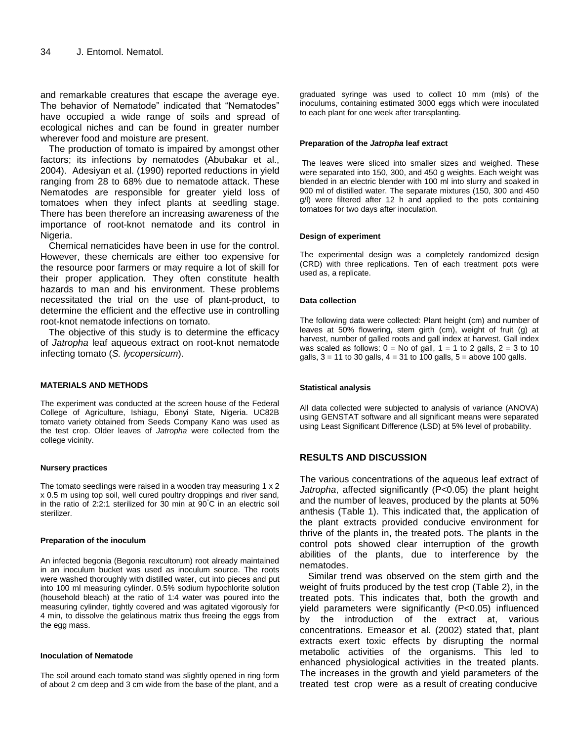and remarkable creatures that escape the average eye. The behavior of Nematode" indicated that "Nematodes" have occupied a wide range of soils and spread of ecological niches and can be found in greater number wherever food and moisture are present.

The production of tomato is impaired by amongst other factors; its infections by nematodes (Abubakar et al., 2004). Adesiyan et al. (1990) reported reductions in yield ranging from 28 to 68% due to nematode attack. These Nematodes are responsible for greater yield loss of tomatoes when they infect plants at seedling stage. There has been therefore an increasing awareness of the importance of root-knot nematode and its control in Nigeria.

Chemical nematicides have been in use for the control. However, these chemicals are either too expensive for the resource poor farmers or may require a lot of skill for their proper application. They often constitute health hazards to man and his environment. These problems necessitated the trial on the use of plant-product, to determine the efficient and the effective use in controlling root-knot nematode infections on tomato.

The objective of this study is to determine the efficacy of *Jatropha* leaf aqueous extract on root-knot nematode infecting tomato (*S. lycopersicum*).

#### **MATERIALS AND METHODS**

The experiment was conducted at the screen house of the Federal College of Agriculture, Ishiagu, Ebonyi State, Nigeria. UC82B tomato variety obtained from Seeds Company Kano was used as the test crop. Older leaves of *Jatropha* were collected from the college vicinity.

#### **Nursery practices**

The tomato seedlings were raised in a wooden tray measuring 1 x 2 x 0.5 m using top soil, well cured poultry droppings and river sand, in the ratio of 2:2:1 sterilized for 30 min at 90°C in an electric soil sterilizer.

#### **Preparation of the inoculum**

An infected begonia (Begonia rexcultorum) root already maintained in an inoculum bucket was used as inoculum source. The roots were washed thoroughly with distilled water, cut into pieces and put into 100 ml measuring cylinder. 0.5% sodium hypochlorite solution (household bleach) at the ratio of 1:4 water was poured into the measuring cylinder, tightly covered and was agitated vigorously for 4 min, to dissolve the gelatinous matrix thus freeing the eggs from the egg mass.

#### **Inoculation of Nematode**

The soil around each tomato stand was slightly opened in ring form of about 2 cm deep and 3 cm wide from the base of the plant, and a

graduated syringe was used to collect 10 mm (mls) of the inoculums, containing estimated 3000 eggs which were inoculated to each plant for one week after transplanting.

#### **Preparation of the** *Jatropha* **leaf extract**

The leaves were sliced into smaller sizes and weighed. These were separated into 150, 300, and 450 g weights. Each weight was blended in an electric blender with 100 ml into slurry and soaked in 900 ml of distilled water. The separate mixtures (150, 300 and 450 g/l) were filtered after 12 h and applied to the pots containing tomatoes for two days after inoculation.

#### **Design of experiment**

The experimental design was a completely randomized design (CRD) with three replications. Ten of each treatment pots were used as, a replicate.

#### **Data collection**

The following data were collected: Plant height (cm) and number of leaves at 50% flowering, stem girth (cm), weight of fruit (g) at harvest, number of galled roots and gall index at harvest. Gall index was scaled as follows:  $0 = No$  of gall,  $1 = 1$  to 2 galls,  $2 = 3$  to 10 galls, 3 = 11 to 30 galls, 4 = 31 to 100 galls, 5 = above 100 galls.

#### **Statistical analysis**

All data collected were subjected to analysis of variance (ANOVA) using GENSTAT software and all significant means were separated using Least Significant Difference (LSD) at 5% level of probability.

# **RESULTS AND DISCUSSION**

The various concentrations of the aqueous leaf extract of *Jatropha*, affected significantly (P<0.05) the plant height and the number of leaves, produced by the plants at 50% anthesis (Table 1). This indicated that, the application of the plant extracts provided conducive environment for thrive of the plants in, the treated pots. The plants in the control pots showed clear interruption of the growth abilities of the plants, due to interference by the nematodes.

Similar trend was observed on the stem girth and the weight of fruits produced by the test crop (Table 2), in the treated pots. This indicates that, both the growth and yield parameters were significantly (P<0.05) influenced by the introduction of the extract at, various concentrations. Emeasor et al. (2002) stated that, plant extracts exert toxic effects by disrupting the normal metabolic activities of the organisms. This led to enhanced physiological activities in the treated plants. The increases in the growth and yield parameters of the treated test crop were as a result of creating conducive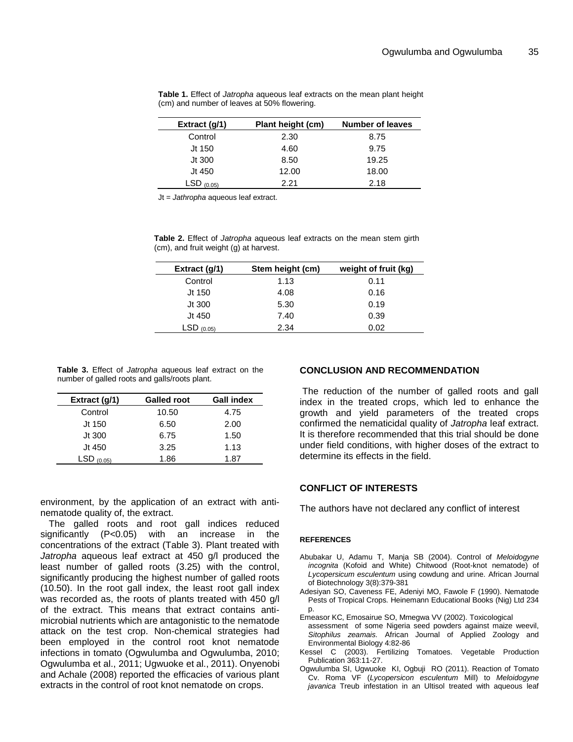| Extract (g/1) | Plant height (cm) | <b>Number of leaves</b> |
|---------------|-------------------|-------------------------|
| Control       | 2.30              | 8.75                    |
| Jt 150        | 4.60              | 9.75                    |
| Jt 300        | 8.50              | 19.25                   |
| Jt 450        | 12.00             | 18.00                   |
| $LSD$ (0.05)  | 221               | 2.18                    |

**Table 1.** Effect of *Jatropha* aqueous leaf extracts on the mean plant height (cm) and number of leaves at 50% flowering.

Jt = *Jathropha* aqueous leaf extract.

**Table 2.** Effect of *Jatropha* aqueous leaf extracts on the mean stem girth (cm), and fruit weight (g) at harvest.

| Extract $(g/1)$ | Stem height (cm) | weight of fruit (kg) |
|-----------------|------------------|----------------------|
| Control         | 1.13             | 0.11                 |
| Jt 150          | 4.08             | 0.16                 |
| Jt 300          | 5.30             | 0.19                 |
| Jt 450          | 7.40             | 0.39                 |
| $LSD$ (0.05)    | 2.34             | 0.02                 |

**Table 3.** Effect of *Jatropha* aqueous leaf extract on the number of galled roots and galls/roots plant.

|  | Extract $(g/1)$ | <b>Galled root</b> | <b>Gall index</b> |
|--|-----------------|--------------------|-------------------|
|  | Control         | 10.50              | 4.75              |
|  | Jt 150          | 6.50               | 2.00              |
|  | Jt 300          | 6.75               | 1.50              |
|  | Jt 450          | 3.25               | 1.13              |
|  | $LSD_{(0.05)}$  | 1.86               | 1.87              |

environment, by the application of an extract with antinematode quality of, the extract.

The galled roots and root gall indices reduced significantly (P<0.05) with an increase in the concentrations of the extract (Table 3). Plant treated with *Jatropha* aqueous leaf extract at 450 g/l produced the least number of galled roots (3.25) with the control, significantly producing the highest number of galled roots (10.50). In the root gall index, the least root gall index was recorded as, the roots of plants treated with 450 g/l of the extract. This means that extract contains antimicrobial nutrients which are antagonistic to the nematode attack on the test crop. Non-chemical strategies had been employed in the control root knot nematode infections in tomato (Ogwulumba and Ogwulumba, 2010; Ogwulumba et al., 2011; Ugwuoke et al., 2011). Onyenobi and Achale (2008) reported the efficacies of various plant extracts in the control of root knot nematode on crops.

# **CONCLUSION AND RECOMMENDATION**

The reduction of the number of galled roots and gall index in the treated crops, which led to enhance the growth and yield parameters of the treated crops confirmed the nematicidal quality of *Jatropha* leaf extract. It is therefore recommended that this trial should be done under field conditions, with higher doses of the extract to determine its effects in the field.

### **CONFLICT OF INTERESTS**

The authors have not declared any conflict of interest

#### **REFERENCES**

- Abubakar U, Adamu T, Manja SB (2004). Control of *Meloidogyne incognita* (Kofoid and White) Chitwood (Root-knot nematode) of *Lycopersicum esculentum* using cowdung and urine. African Journal of Biotechnology 3(8):379-381
- Adesiyan SO, Caveness FE, Adeniyi MO, Fawole F (1990). Nematode Pests of Tropical Crops*.* Heinemann Educational Books (Nig) Ltd 234 p.
- Emeasor KC, Emosairue SO, Mmegwa VV (2002). Toxicological
- assessment of some Nigeria seed powders against maize weevil, *Sitophilus zeamais.* African Journal of Applied Zoology and Environmental Biology 4:82-86
- Kessel C (2003). Fertilizing Tomatoes. Vegetable Production Publication 363:11-27.
- Ogwulumba SI, Ugwuoke KI, Ogbuji RO (2011). Reaction of Tomato Cv. Roma VF (*Lycopersicon esculentum* Mill) to *Meloidogyne javanica* Treub infestation in an Ultisol treated with aqueous leaf